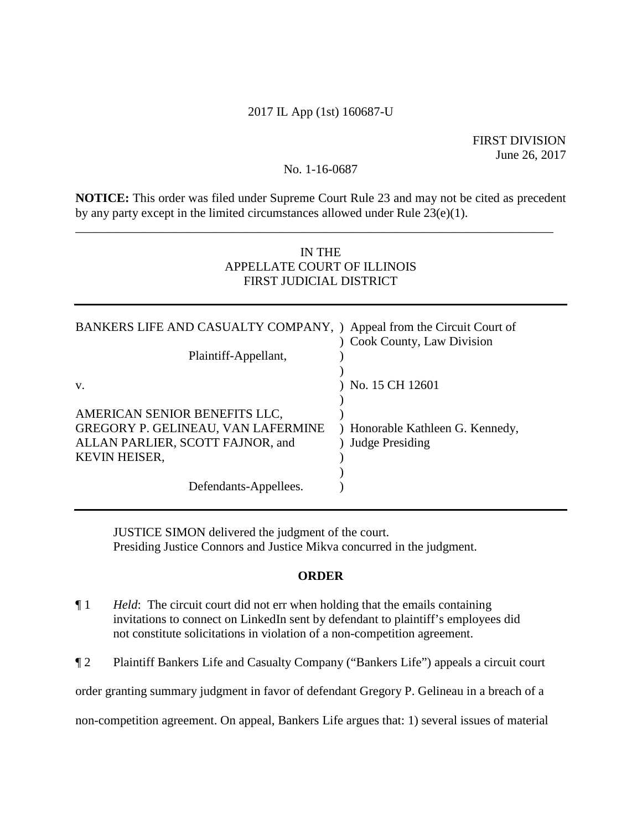# 2017 IL App (1st) 160687-U

### No. 1-16-0687

**NOTICE:** This order was filed under Supreme Court Rule 23 and may not be cited as precedent by any party except in the limited circumstances allowed under Rule 23(e)(1).

\_\_\_\_\_\_\_\_\_\_\_\_\_\_\_\_\_\_\_\_\_\_\_\_\_\_\_\_\_\_\_\_\_\_\_\_\_\_\_\_\_\_\_\_\_\_\_\_\_\_\_\_\_\_\_\_\_\_\_\_\_\_\_\_\_\_\_\_\_\_\_\_\_\_\_\_

# IN THE APPELLATE COURT OF ILLINOIS FIRST JUDICIAL DISTRICT

| BANKERS LIFE AND CASUALTY COMPANY, ) Appeal from the Circuit Court of<br>Plaintiff-Appellant, | Cook County, Law Division      |
|-----------------------------------------------------------------------------------------------|--------------------------------|
|                                                                                               |                                |
| V.                                                                                            | No. 15 CH 12601                |
| AMERICAN SENIOR BENEFITS LLC,                                                                 |                                |
| GREGORY P. GELINEAU, VAN LAFERMINE                                                            | Honorable Kathleen G. Kennedy, |
|                                                                                               |                                |
| ALLAN PARLIER, SCOTT FAJNOR, and                                                              | <b>Judge Presiding</b>         |
| <b>KEVIN HEISER,</b>                                                                          |                                |
|                                                                                               |                                |
| Defendants-Appellees.                                                                         |                                |

JUSTICE SIMON delivered the judgment of the court. Presiding Justice Connors and Justice Mikva concurred in the judgment.

### **ORDER**

- ¶ 1 *Held*: The circuit court did not err when holding that the emails containing invitations to connect on LinkedIn sent by defendant to plaintiff's employees did not constitute solicitations in violation of a non-competition agreement.
- ¶ 2 Plaintiff Bankers Life and Casualty Company ("Bankers Life") appeals a circuit court

order granting summary judgment in favor of defendant Gregory P. Gelineau in a breach of a

non-competition agreement. On appeal, Bankers Life argues that: 1) several issues of material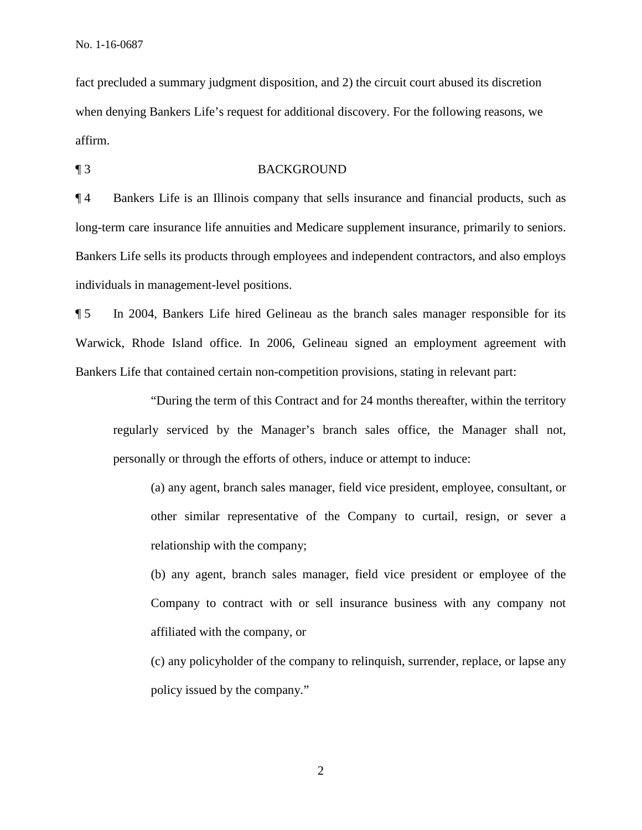fact precluded a summary judgment disposition, and 2) the circuit court abused its discretion when denying Bankers Life's request for additional discovery. For the following reasons, we affirm.

¶ 3 BACKGROUND

¶ 4 Bankers Life is an Illinois company that sells insurance and financial products, such as long-term care insurance life annuities and Medicare supplement insurance, primarily to seniors. Bankers Life sells its products through employees and independent contractors, and also employs individuals in management-level positions.

¶ 5 In 2004, Bankers Life hired Gelineau as the branch sales manager responsible for its Warwick, Rhode Island office. In 2006, Gelineau signed an employment agreement with Bankers Life that contained certain non-competition provisions, stating in relevant part:

 "During the term of this Contract and for 24 months thereafter, within the territory regularly serviced by the Manager's branch sales office, the Manager shall not, personally or through the efforts of others, induce or attempt to induce:

(a) any agent, branch sales manager, field vice president, employee, consultant, or other similar representative of the Company to curtail, resign, or sever a relationship with the company;

(b) any agent, branch sales manager, field vice president or employee of the Company to contract with or sell insurance business with any company not affiliated with the company, or

(c) any policyholder of the company to relinquish, surrender, replace, or lapse any policy issued by the company."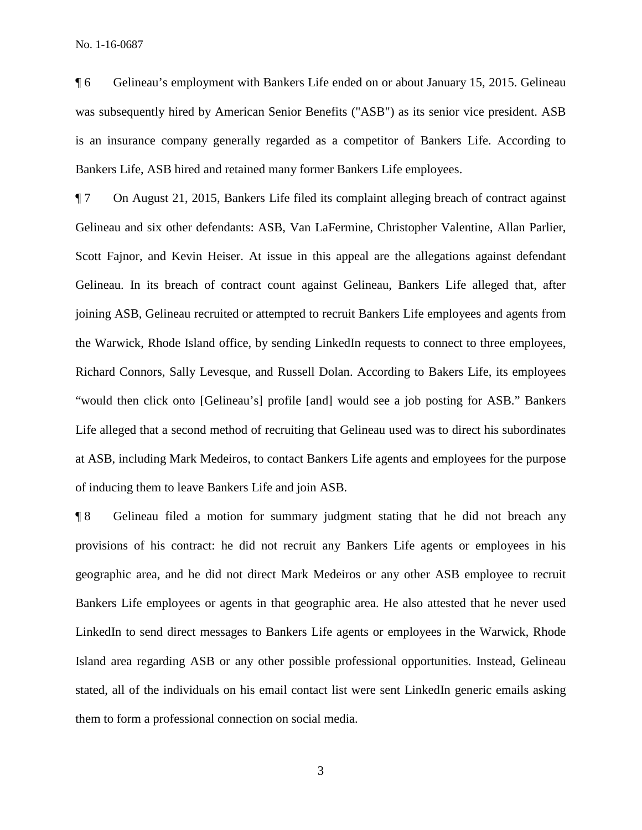No. 1-16-0687

¶ 6 Gelineau's employment with Bankers Life ended on or about January 15, 2015. Gelineau was subsequently hired by American Senior Benefits ("ASB") as its senior vice president. ASB is an insurance company generally regarded as a competitor of Bankers Life. According to Bankers Life, ASB hired and retained many former Bankers Life employees.

¶ 7 On August 21, 2015, Bankers Life filed its complaint alleging breach of contract against Gelineau and six other defendants: ASB, Van LaFermine, Christopher Valentine, Allan Parlier, Scott Fajnor, and Kevin Heiser. At issue in this appeal are the allegations against defendant Gelineau. In its breach of contract count against Gelineau, Bankers Life alleged that, after joining ASB, Gelineau recruited or attempted to recruit Bankers Life employees and agents from the Warwick, Rhode Island office, by sending LinkedIn requests to connect to three employees, Richard Connors, Sally Levesque, and Russell Dolan. According to Bakers Life, its employees "would then click onto [Gelineau's] profile [and] would see a job posting for ASB." Bankers Life alleged that a second method of recruiting that Gelineau used was to direct his subordinates at ASB, including Mark Medeiros, to contact Bankers Life agents and employees for the purpose of inducing them to leave Bankers Life and join ASB.

¶ 8 Gelineau filed a motion for summary judgment stating that he did not breach any provisions of his contract: he did not recruit any Bankers Life agents or employees in his geographic area, and he did not direct Mark Medeiros or any other ASB employee to recruit Bankers Life employees or agents in that geographic area. He also attested that he never used LinkedIn to send direct messages to Bankers Life agents or employees in the Warwick, Rhode Island area regarding ASB or any other possible professional opportunities. Instead, Gelineau stated, all of the individuals on his email contact list were sent LinkedIn generic emails asking them to form a professional connection on social media.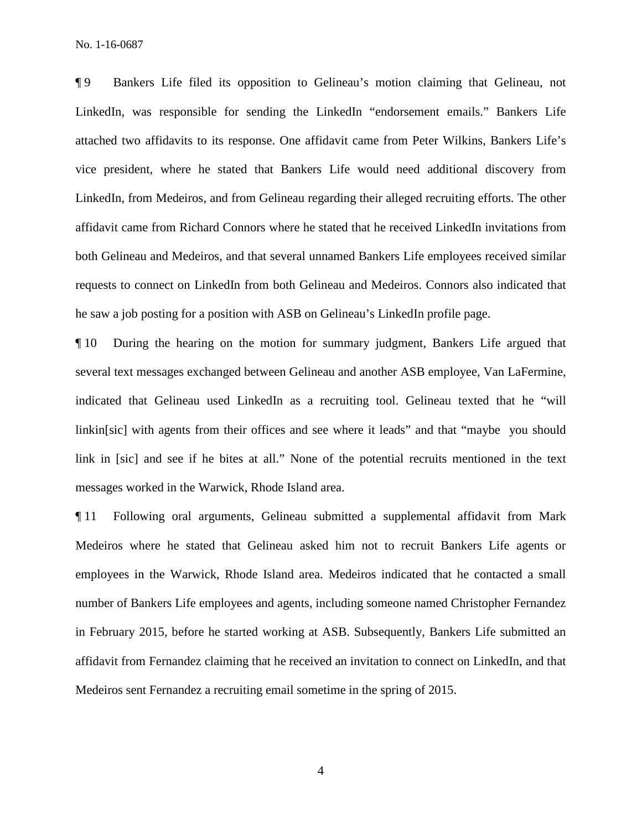No. 1-16-0687

¶ 9 Bankers Life filed its opposition to Gelineau's motion claiming that Gelineau, not LinkedIn, was responsible for sending the LinkedIn "endorsement emails." Bankers Life attached two affidavits to its response. One affidavit came from Peter Wilkins, Bankers Life's vice president, where he stated that Bankers Life would need additional discovery from LinkedIn, from Medeiros, and from Gelineau regarding their alleged recruiting efforts. The other affidavit came from Richard Connors where he stated that he received LinkedIn invitations from both Gelineau and Medeiros, and that several unnamed Bankers Life employees received similar requests to connect on LinkedIn from both Gelineau and Medeiros. Connors also indicated that he saw a job posting for a position with ASB on Gelineau's LinkedIn profile page.

¶ 10 During the hearing on the motion for summary judgment, Bankers Life argued that several text messages exchanged between Gelineau and another ASB employee, Van LaFermine, indicated that Gelineau used LinkedIn as a recruiting tool. Gelineau texted that he "will linkin[sic] with agents from their offices and see where it leads" and that "maybe you should link in [sic] and see if he bites at all." None of the potential recruits mentioned in the text messages worked in the Warwick, Rhode Island area.

¶ 11 Following oral arguments, Gelineau submitted a supplemental affidavit from Mark Medeiros where he stated that Gelineau asked him not to recruit Bankers Life agents or employees in the Warwick, Rhode Island area. Medeiros indicated that he contacted a small number of Bankers Life employees and agents, including someone named Christopher Fernandez in February 2015, before he started working at ASB. Subsequently, Bankers Life submitted an affidavit from Fernandez claiming that he received an invitation to connect on LinkedIn, and that Medeiros sent Fernandez a recruiting email sometime in the spring of 2015.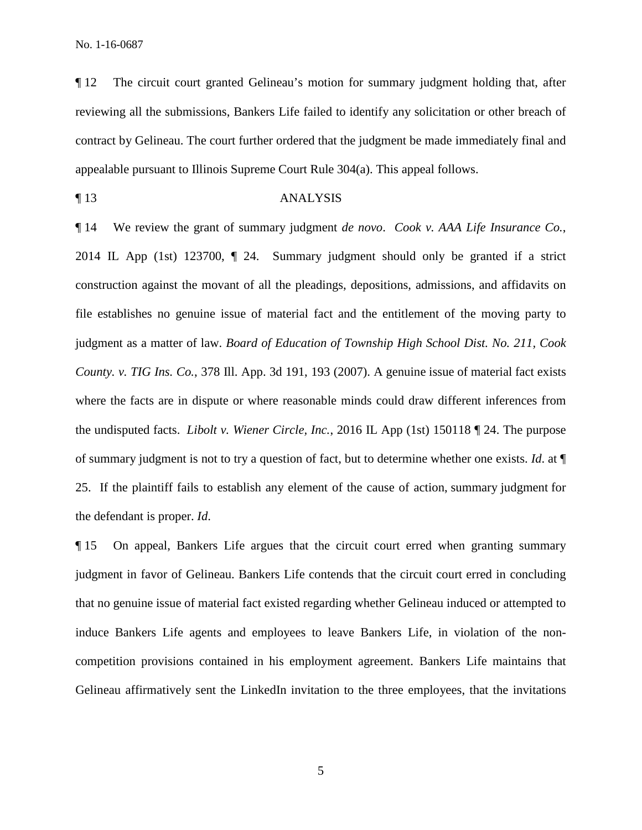¶ 12 The circuit court granted Gelineau's motion for summary judgment holding that, after reviewing all the submissions, Bankers Life failed to identify any solicitation or other breach of contract by Gelineau. The court further ordered that the judgment be made immediately final and appealable pursuant to Illinois Supreme Court Rule 304(a). This appeal follows.

# ¶ 13 ANALYSIS

¶ 14 We review the grant of summary judgment *de novo*. *Cook v. AAA Life Insurance Co.*, 2014 IL App (1st) 123700, ¶ 24. Summary judgment should only be granted if a strict construction against the movant of all the pleadings, depositions, admissions, and affidavits on file establishes no genuine issue of material fact and the entitlement of the moving party to judgment as a matter of law. *Board of Education of Township High School Dist. No. 211, Cook County. v. TIG Ins. Co.*, 378 Ill. App. 3d 191, 193 (2007). A genuine issue of material fact exists where the facts are in dispute or where reasonable minds could draw different inferences from the undisputed facts. *Libolt v. Wiener Circle, Inc.*, 2016 IL App (1st) 150118 ¶ 24. The purpose of summary judgment is not to try a question of fact, but to determine whether one exists. *Id*. at ¶ 25. If the plaintiff fails to establish any element of the cause of action, summary judgment for the defendant is proper. *Id*.

¶ 15 On appeal, Bankers Life argues that the circuit court erred when granting summary judgment in favor of Gelineau. Bankers Life contends that the circuit court erred in concluding that no genuine issue of material fact existed regarding whether Gelineau induced or attempted to induce Bankers Life agents and employees to leave Bankers Life, in violation of the noncompetition provisions contained in his employment agreement. Bankers Life maintains that Gelineau affirmatively sent the LinkedIn invitation to the three employees, that the invitations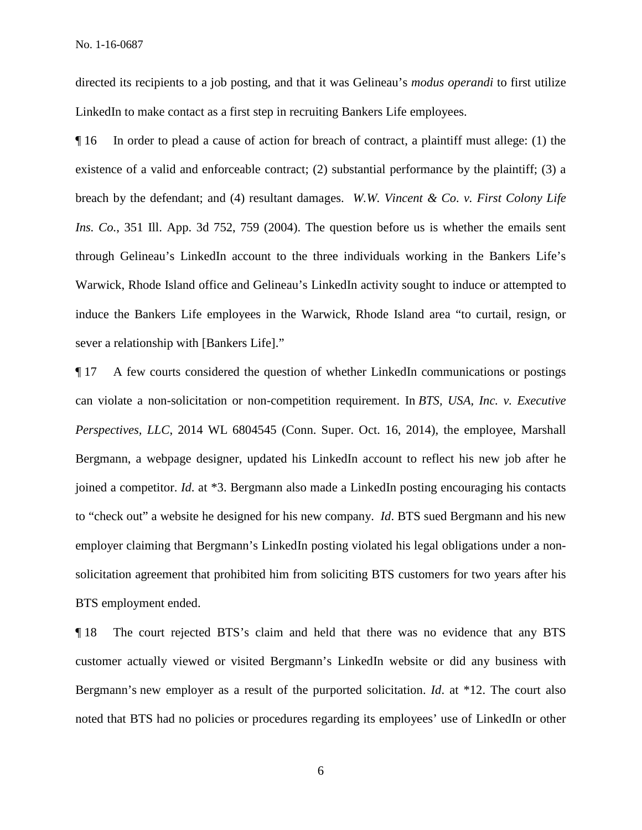directed its recipients to a job posting, and that it was Gelineau's *modus operandi* to first utilize LinkedIn to make contact as a first step in recruiting Bankers Life employees.

¶ 16 In order to plead a cause of action for breach of contract, a plaintiff must allege: (1) the existence of a valid and enforceable contract; (2) substantial performance by the plaintiff; (3) a breach by the defendant; and (4) resultant damages. *W.W. Vincent & Co. v. First Colony Life Ins. Co.*, 351 Ill. App. 3d 752, 759 (2004). The question before us is whether the emails sent through Gelineau's LinkedIn account to the three individuals working in the Bankers Life's Warwick, Rhode Island office and Gelineau's LinkedIn activity sought to induce or attempted to induce the Bankers Life employees in the Warwick, Rhode Island area "to curtail, resign, or sever a relationship with [Bankers Life]."

¶ 17 A few courts considered the question of whether LinkedIn communications or postings can violate a non-solicitation or non-competition requirement. In *BTS, USA, Inc. v. Executive Perspectives, LLC*, 2014 WL 6804545 (Conn. Super. Oct. 16, 2014), the employee, Marshall Bergmann, a webpage designer, updated his LinkedIn account to reflect his new job after he joined a competitor. *Id*. at \*3. Bergmann also made a LinkedIn posting encouraging his contacts to "check out" a website he designed for his new company. *Id*. BTS sued Bergmann and his new employer claiming that Bergmann's LinkedIn posting violated his legal obligations under a nonsolicitation agreement that prohibited him from soliciting BTS customers for two years after his BTS employment ended.

¶ 18 The court rejected BTS's claim and held that there was no evidence that any BTS customer actually viewed or visited Bergmann's LinkedIn website or did any business with Bergmann's new employer as a result of the purported solicitation. *Id*. at \*12. The court also noted that BTS had no policies or procedures regarding its employees' use of LinkedIn or other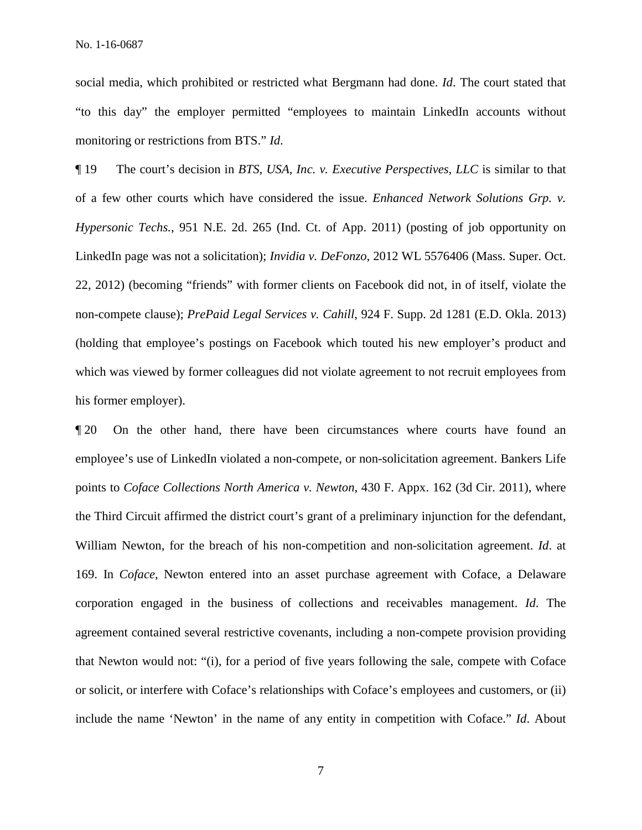social media, which prohibited or restricted what Bergmann had done. *Id*. The court stated that "to this day" the employer permitted "employees to maintain LinkedIn accounts without monitoring or restrictions from BTS." *Id*.

¶ 19 The court's decision in *BTS, USA, Inc. v. Executive Perspectives, LLC* is similar to that of a few other courts which have considered the issue. *Enhanced Network Solutions Grp. v. Hypersonic Techs.*, 951 N.E. 2d. 265 (Ind. Ct. of App. 2011) (posting of job opportunity on LinkedIn page was not a solicitation); *Invidia v. DeFonzo*, 2012 WL 5576406 (Mass. Super. Oct. 22, 2012) (becoming "friends" with former clients on Facebook did not, in of itself, violate the non-compete clause); *PrePaid Legal Services v. Cahill*, 924 F. Supp. 2d 1281 (E.D. Okla. 2013) (holding that employee's postings on Facebook which touted his new employer's product and which was viewed by former colleagues did not violate agreement to not recruit employees from his former employer).

¶ 20 On the other hand, there have been circumstances where courts have found an employee's use of LinkedIn violated a non-compete, or non-solicitation agreement. Bankers Life points to *Coface Collections North America v. Newton*, 430 F. Appx. 162 (3d Cir. 2011), where the Third Circuit affirmed the district court's grant of a preliminary injunction for the defendant, William Newton, for the breach of his non-competition and non-solicitation agreement. *Id*. at 169. In *Coface*, Newton entered into an asset purchase agreement with Coface, a Delaware corporation engaged in the business of collections and receivables management. *Id*. The agreement contained several restrictive covenants, including a non-compete provision providing that Newton would not: "(i), for a period of five years following the sale, compete with Coface or solicit, or interfere with Coface's relationships with Coface's employees and customers, or (ii) include the name 'Newton' in the name of any entity in competition with Coface." *Id*. About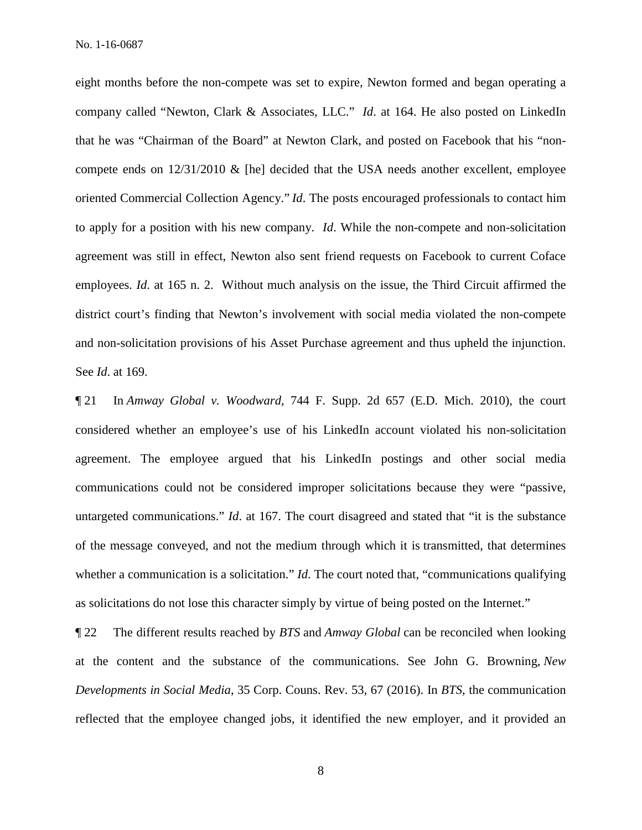eight months before the non-compete was set to expire, Newton formed and began operating a company called "Newton, Clark & Associates, LLC." *Id*. at 164. He also posted on LinkedIn that he was "Chairman of the Board" at Newton Clark, and posted on Facebook that his "noncompete ends on  $12/31/2010 \&$  [he] decided that the USA needs another excellent, employee oriented Commercial Collection Agency." *Id*. The posts encouraged professionals to contact him to apply for a position with his new company. *Id*. While the non-compete and non-solicitation agreement was still in effect, Newton also sent friend requests on Facebook to current Coface employees. *Id*. at 165 n. 2. Without much analysis on the issue, the Third Circuit affirmed the district court's finding that Newton's involvement with social media violated the non-compete and non-solicitation provisions of his Asset Purchase agreement and thus upheld the injunction. See *Id*. at 169.

¶ 21 In *Amway Global v. Woodward*, 744 F. Supp. 2d 657 (E.D. Mich. 2010), the court considered whether an employee's use of his LinkedIn account violated his non-solicitation agreement. The employee argued that his LinkedIn postings and other social media communications could not be considered improper solicitations because they were "passive, untargeted communications." *Id*. at 167. The court disagreed and stated that "it is the substance of the message conveyed, and not the medium through which it is transmitted, that determines whether a communication is a solicitation." *Id*. The court noted that, "communications qualifying as solicitations do not lose this character simply by virtue of being posted on the Internet."

¶ 22 The different results reached by *BTS* and *Amway Global* can be reconciled when looking at the content and the substance of the communications. See John G. Browning, *New Developments in Social Media*, 35 Corp. Couns. Rev. 53, 67 (2016). In *BTS*, the communication reflected that the employee changed jobs, it identified the new employer, and it provided an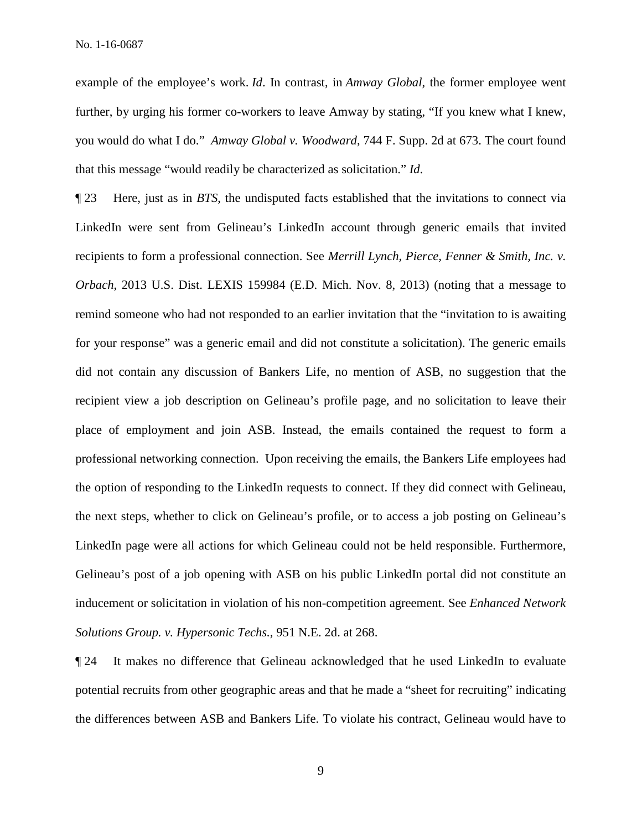example of the employee's work. *Id*. In contrast, in *Amway Global*, the former employee went further, by urging his former co-workers to leave Amway by stating, "If you knew what I knew, you would do what I do." *Amway Global v. Woodward*, 744 F. Supp. 2d at 673. The court found that this message "would readily be characterized as solicitation." *Id*.

¶ 23 Here, just as in *BTS*, the undisputed facts established that the invitations to connect via LinkedIn were sent from Gelineau's LinkedIn account through generic emails that invited recipients to form a professional connection. See *Merrill Lynch, Pierce, Fenner & Smith, Inc. v. Orbach*, 2013 U.S. Dist. LEXIS 159984 (E.D. Mich. Nov. 8, 2013) (noting that a message to remind someone who had not responded to an earlier invitation that the "invitation to is awaiting for your response" was a generic email and did not constitute a solicitation). The generic emails did not contain any discussion of Bankers Life, no mention of ASB, no suggestion that the recipient view a job description on Gelineau's profile page, and no solicitation to leave their place of employment and join ASB. Instead, the emails contained the request to form a professional networking connection. Upon receiving the emails, the Bankers Life employees had the option of responding to the LinkedIn requests to connect. If they did connect with Gelineau, the next steps, whether to click on Gelineau's profile, or to access a job posting on Gelineau's LinkedIn page were all actions for which Gelineau could not be held responsible. Furthermore, Gelineau's post of a job opening with ASB on his public LinkedIn portal did not constitute an inducement or solicitation in violation of his non-competition agreement. See *Enhanced Network Solutions Group. v. Hypersonic Techs.*, 951 N.E. 2d. at 268.

¶ 24 It makes no difference that Gelineau acknowledged that he used LinkedIn to evaluate potential recruits from other geographic areas and that he made a "sheet for recruiting" indicating the differences between ASB and Bankers Life. To violate his contract, Gelineau would have to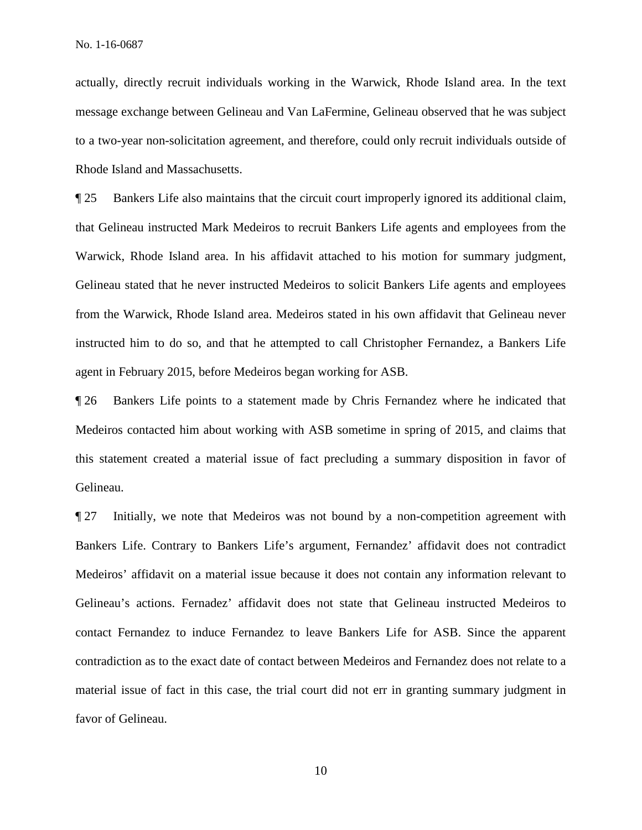actually, directly recruit individuals working in the Warwick, Rhode Island area. In the text message exchange between Gelineau and Van LaFermine, Gelineau observed that he was subject to a two-year non-solicitation agreement, and therefore, could only recruit individuals outside of Rhode Island and Massachusetts.

¶ 25 Bankers Life also maintains that the circuit court improperly ignored its additional claim, that Gelineau instructed Mark Medeiros to recruit Bankers Life agents and employees from the Warwick, Rhode Island area. In his affidavit attached to his motion for summary judgment, Gelineau stated that he never instructed Medeiros to solicit Bankers Life agents and employees from the Warwick, Rhode Island area. Medeiros stated in his own affidavit that Gelineau never instructed him to do so, and that he attempted to call Christopher Fernandez, a Bankers Life agent in February 2015, before Medeiros began working for ASB.

¶ 26 Bankers Life points to a statement made by Chris Fernandez where he indicated that Medeiros contacted him about working with ASB sometime in spring of 2015, and claims that this statement created a material issue of fact precluding a summary disposition in favor of Gelineau.

¶ 27 Initially, we note that Medeiros was not bound by a non-competition agreement with Bankers Life. Contrary to Bankers Life's argument, Fernandez' affidavit does not contradict Medeiros' affidavit on a material issue because it does not contain any information relevant to Gelineau's actions. Fernadez' affidavit does not state that Gelineau instructed Medeiros to contact Fernandez to induce Fernandez to leave Bankers Life for ASB. Since the apparent contradiction as to the exact date of contact between Medeiros and Fernandez does not relate to a material issue of fact in this case, the trial court did not err in granting summary judgment in favor of Gelineau.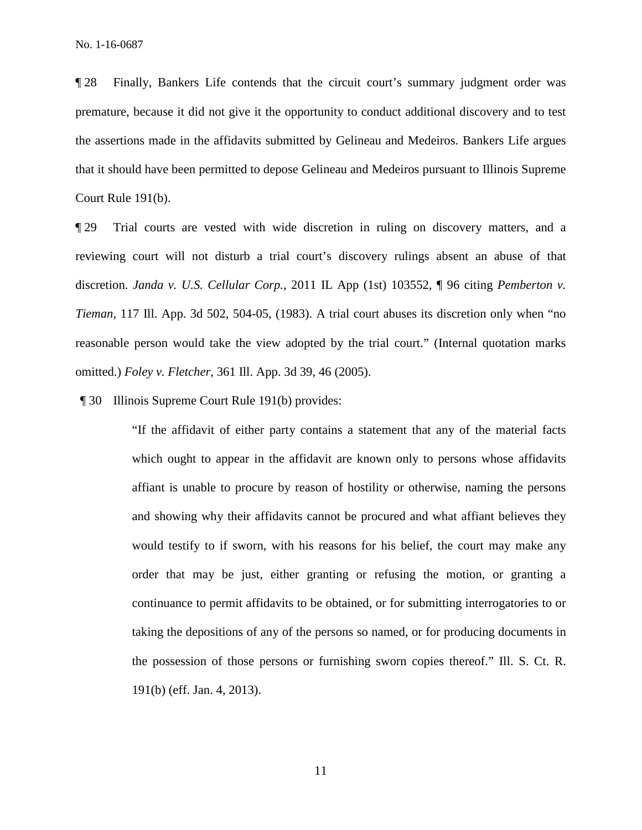¶ 28 Finally, Bankers Life contends that the circuit court's summary judgment order was premature, because it did not give it the opportunity to conduct additional discovery and to test the assertions made in the affidavits submitted by Gelineau and Medeiros. Bankers Life argues that it should have been permitted to depose Gelineau and Medeiros pursuant to Illinois Supreme Court Rule 191(b).

¶ 29 Trial courts are vested with wide discretion in ruling on discovery matters, and a reviewing court will not disturb a trial court's discovery rulings absent an abuse of that discretion. *Janda v. U.S. Cellular Corp.*, 2011 IL App (1st) 103552, ¶ 96 citing *Pemberton v. Tieman*, 117 Ill. App. 3d 502, 504-05, (1983). A trial court abuses its discretion only when "no reasonable person would take the view adopted by the trial court." (Internal quotation marks omitted.) *Foley v. Fletcher*, 361 Ill. App. 3d 39, 46 (2005).

¶ 30 Illinois Supreme Court Rule 191(b) provides:

"If the affidavit of either party contains a statement that any of the material facts which ought to appear in the affidavit are known only to persons whose affidavits affiant is unable to procure by reason of hostility or otherwise, naming the persons and showing why their affidavits cannot be procured and what affiant believes they would testify to if sworn, with his reasons for his belief, the court may make any order that may be just, either granting or refusing the motion, or granting a continuance to permit affidavits to be obtained, or for submitting interrogatories to or taking the depositions of any of the persons so named, or for producing documents in the possession of those persons or furnishing sworn copies thereof." Ill. S. Ct. R. 191(b) (eff. Jan. 4, 2013).